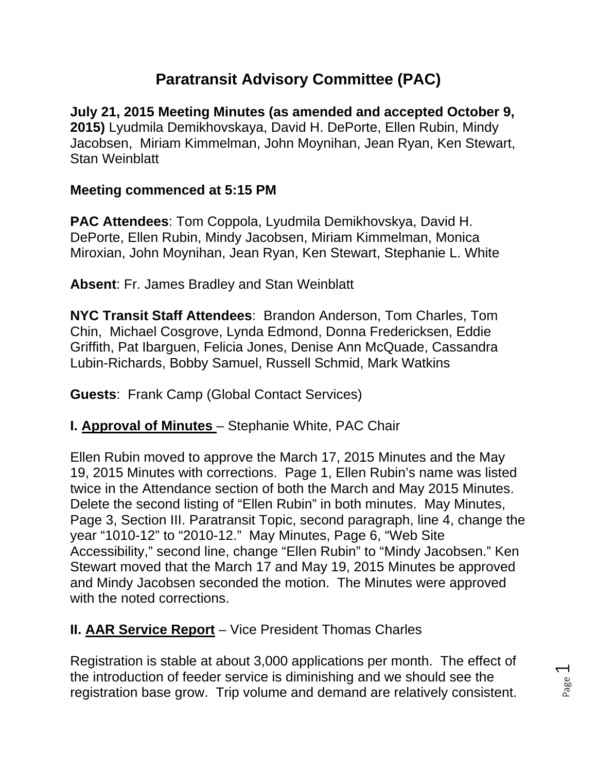# **Paratransit Advisory Committee (PAC)**

**July 21, 2015 Meeting Minutes (as amended and accepted October 9, 2015)** Lyudmila Demikhovskaya, David H. DePorte, Ellen Rubin, Mindy Jacobsen, Miriam Kimmelman, John Moynihan, Jean Ryan, Ken Stewart, Stan Weinblatt

#### **Meeting commenced at 5:15 PM**

**PAC Attendees**: Tom Coppola, Lyudmila Demikhovskya, David H. DePorte, Ellen Rubin, Mindy Jacobsen, Miriam Kimmelman, Monica Miroxian, John Moynihan, Jean Ryan, Ken Stewart, Stephanie L. White

**Absent**: Fr. James Bradley and Stan Weinblatt

**NYC Transit Staff Attendees**: Brandon Anderson, Tom Charles, Tom Chin, Michael Cosgrove, Lynda Edmond, Donna Fredericksen, Eddie Griffith, Pat Ibarguen, Felicia Jones, Denise Ann McQuade, Cassandra Lubin-Richards, Bobby Samuel, Russell Schmid, Mark Watkins

**Guests**: Frank Camp (Global Contact Services)

### **I. Approval of Minutes** – Stephanie White, PAC Chair

Ellen Rubin moved to approve the March 17, 2015 Minutes and the May 19, 2015 Minutes with corrections. Page 1, Ellen Rubin's name was listed twice in the Attendance section of both the March and May 2015 Minutes. Delete the second listing of "Ellen Rubin" in both minutes. May Minutes, Page 3, Section III. Paratransit Topic, second paragraph, line 4, change the year "1010-12" to "2010-12." May Minutes, Page 6, "Web Site Accessibility," second line, change "Ellen Rubin" to "Mindy Jacobsen." Ken Stewart moved that the March 17 and May 19, 2015 Minutes be approved and Mindy Jacobsen seconded the motion. The Minutes were approved with the noted corrections.

## **II. AAR Service Report** – Vice President Thomas Charles

Registration is stable at about 3,000 applications per month. The effect of the introduction of feeder service is diminishing and we should see the registration base grow. Trip volume and demand are relatively consistent.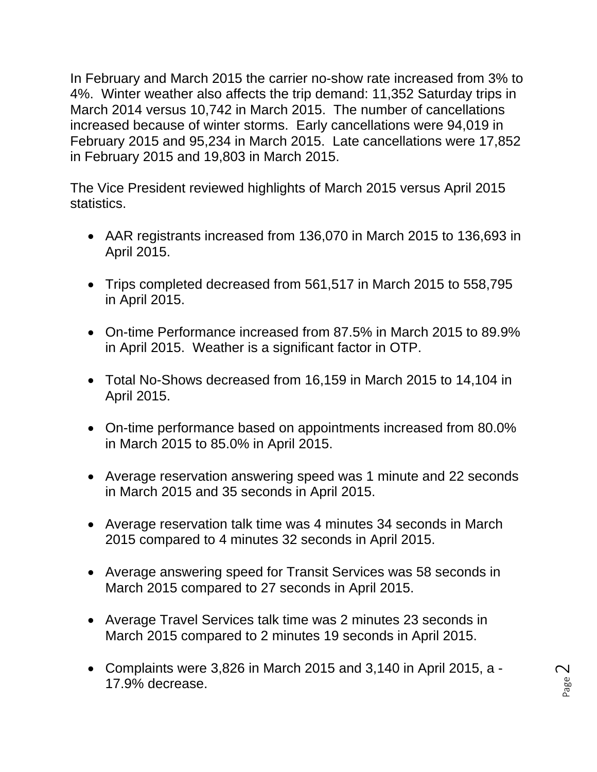In February and March 2015 the carrier no-show rate increased from 3% to 4%. Winter weather also affects the trip demand: 11,352 Saturday trips in March 2014 versus 10,742 in March 2015. The number of cancellations increased because of winter storms. Early cancellations were 94,019 in February 2015 and 95,234 in March 2015. Late cancellations were 17,852 in February 2015 and 19,803 in March 2015.

The Vice President reviewed highlights of March 2015 versus April 2015 statistics.

- AAR registrants increased from 136,070 in March 2015 to 136,693 in April 2015.
- Trips completed decreased from 561,517 in March 2015 to 558,795 in April 2015.
- On-time Performance increased from 87.5% in March 2015 to 89.9% in April 2015. Weather is a significant factor in OTP.
- Total No-Shows decreased from 16,159 in March 2015 to 14,104 in April 2015.
- On-time performance based on appointments increased from 80.0% in March 2015 to 85.0% in April 2015.
- Average reservation answering speed was 1 minute and 22 seconds in March 2015 and 35 seconds in April 2015.
- Average reservation talk time was 4 minutes 34 seconds in March 2015 compared to 4 minutes 32 seconds in April 2015.
- Average answering speed for Transit Services was 58 seconds in March 2015 compared to 27 seconds in April 2015.
- Average Travel Services talk time was 2 minutes 23 seconds in March 2015 compared to 2 minutes 19 seconds in April 2015.
- Complaints were 3,826 in March 2015 and 3,140 in April 2015, a 17.9% decrease.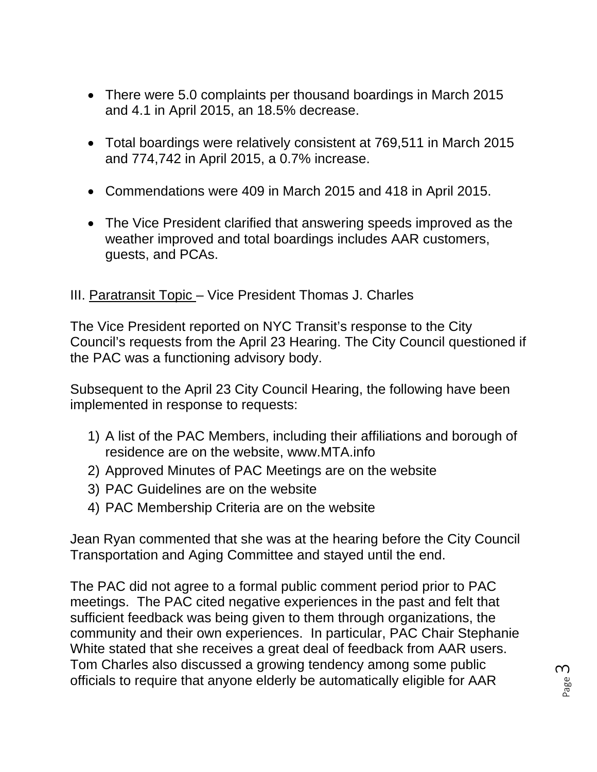- There were 5.0 complaints per thousand boardings in March 2015 and 4.1 in April 2015, an 18.5% decrease.
- Total boardings were relatively consistent at 769,511 in March 2015 and 774,742 in April 2015, a 0.7% increase.
- Commendations were 409 in March 2015 and 418 in April 2015.
- The Vice President clarified that answering speeds improved as the weather improved and total boardings includes AAR customers, guests, and PCAs.

#### III. Paratransit Topic – Vice President Thomas J. Charles

The Vice President reported on NYC Transit's response to the City Council's requests from the April 23 Hearing. The City Council questioned if the PAC was a functioning advisory body.

Subsequent to the April 23 City Council Hearing, the following have been implemented in response to requests:

- 1) A list of the PAC Members, including their affiliations and borough of residence are on the website, www.MTA.info
- 2) Approved Minutes of PAC Meetings are on the website
- 3) PAC Guidelines are on the website
- 4) PAC Membership Criteria are on the website

Jean Ryan commented that she was at the hearing before the City Council Transportation and Aging Committee and stayed until the end.

The PAC did not agree to a formal public comment period prior to PAC meetings. The PAC cited negative experiences in the past and felt that sufficient feedback was being given to them through organizations, the community and their own experiences. In particular, PAC Chair Stephanie White stated that she receives a great deal of feedback from AAR users. Tom Charles also discussed a growing tendency among some public officials to require that anyone elderly be automatically eligible for AAR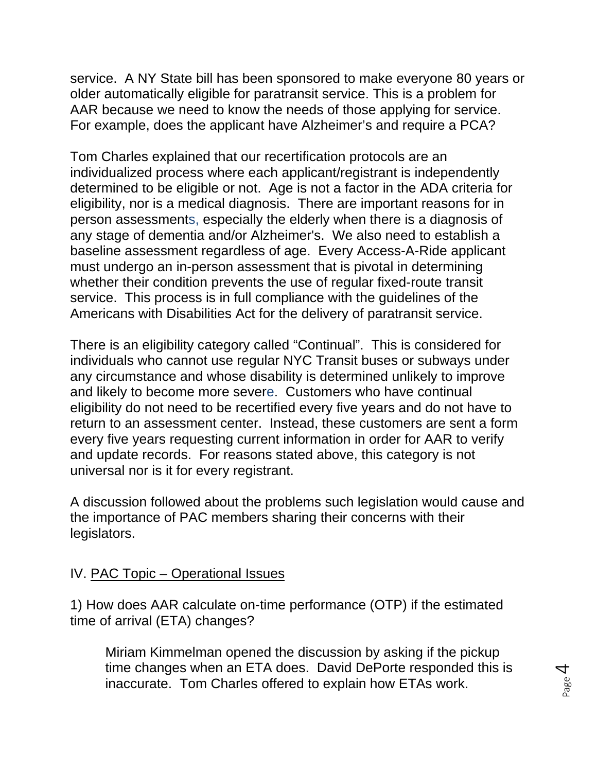service. A NY State bill has been sponsored to make everyone 80 years or older automatically eligible for paratransit service. This is a problem for AAR because we need to know the needs of those applying for service. For example, does the applicant have Alzheimer's and require a PCA?

Tom Charles explained that our recertification protocols are an individualized process where each applicant/registrant is independently determined to be eligible or not. Age is not a factor in the ADA criteria for eligibility, nor is a medical diagnosis. There are important reasons for in person assessments, especially the elderly when there is a diagnosis of any stage of dementia and/or Alzheimer's. We also need to establish a baseline assessment regardless of age. Every Access-A-Ride applicant must undergo an in-person assessment that is pivotal in determining whether their condition prevents the use of regular fixed-route transit service. This process is in full compliance with the guidelines of the Americans with Disabilities Act for the delivery of paratransit service.

There is an eligibility category called "Continual". This is considered for individuals who cannot use regular NYC Transit buses or subways under any circumstance and whose disability is determined unlikely to improve and likely to become more severe. Customers who have continual eligibility do not need to be recertified every five years and do not have to return to an assessment center. Instead, these customers are sent a form every five years requesting current information in order for AAR to verify and update records. For reasons stated above, this category is not universal nor is it for every registrant.

A discussion followed about the problems such legislation would cause and the importance of PAC members sharing their concerns with their legislators.

#### IV. PAC Topic – Operational Issues

1) How does AAR calculate on-time performance (OTP) if the estimated time of arrival (ETA) changes?

Miriam Kimmelman opened the discussion by asking if the pickup time changes when an ETA does. David DePorte responded this is inaccurate. Tom Charles offered to explain how ETAs work.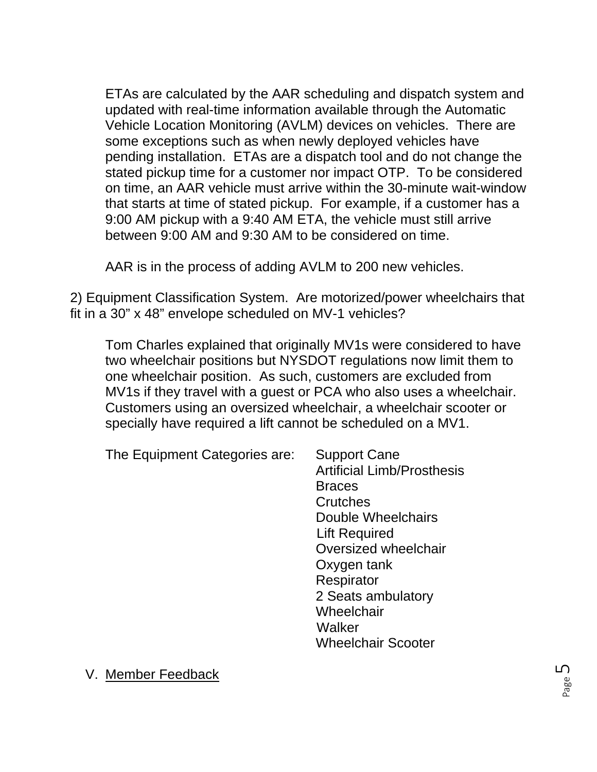ETAs are calculated by the AAR scheduling and dispatch system and updated with real-time information available through the Automatic Vehicle Location Monitoring (AVLM) devices on vehicles. There are some exceptions such as when newly deployed vehicles have pending installation. ETAs are a dispatch tool and do not change the stated pickup time for a customer nor impact OTP. To be considered on time, an AAR vehicle must arrive within the 30-minute wait-window that starts at time of stated pickup. For example, if a customer has a 9:00 AM pickup with a 9:40 AM ETA, the vehicle must still arrive between 9:00 AM and 9:30 AM to be considered on time.

AAR is in the process of adding AVLM to 200 new vehicles.

2) Equipment Classification System. Are motorized/power wheelchairs that fit in a 30" x 48" envelope scheduled on MV-1 vehicles?

Tom Charles explained that originally MV1s were considered to have two wheelchair positions but NYSDOT regulations now limit them to one wheelchair position. As such, customers are excluded from MV1s if they travel with a guest or PCA who also uses a wheelchair. Customers using an oversized wheelchair, a wheelchair scooter or specially have required a lift cannot be scheduled on a MV1.

The Equipment Categories are: Support Cane

 Artificial Limb/Prosthesis Braces Crutches Double Wheelchairs Lift Required Oversized wheelchair Oxygen tank **Respirator**  2 Seats ambulatory **Wheelchair Walker** Wheelchair Scooter

V. Member Feedback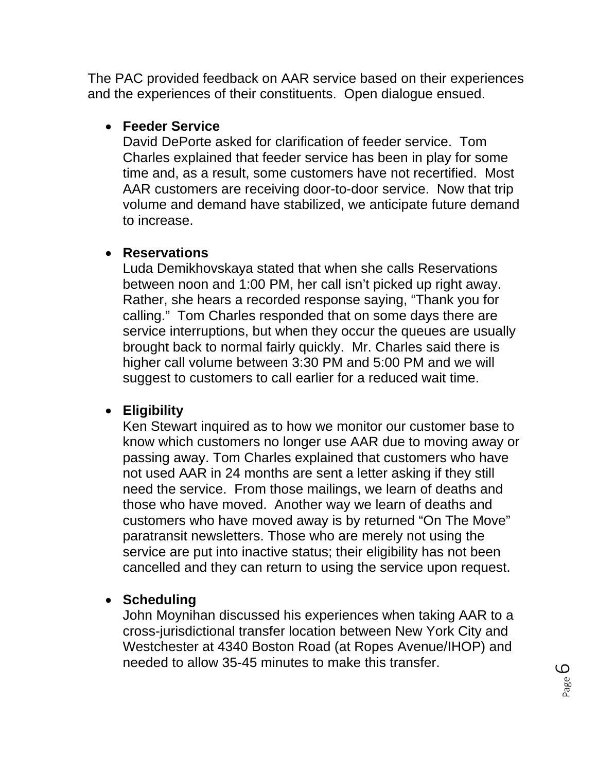The PAC provided feedback on AAR service based on their experiences and the experiences of their constituents. Open dialogue ensued.

#### **Feeder Service**

David DePorte asked for clarification of feeder service. Tom Charles explained that feeder service has been in play for some time and, as a result, some customers have not recertified. Most AAR customers are receiving door-to-door service. Now that trip volume and demand have stabilized, we anticipate future demand to increase.

#### **Reservations**

Luda Demikhovskaya stated that when she calls Reservations between noon and 1:00 PM, her call isn't picked up right away. Rather, she hears a recorded response saying, "Thank you for calling." Tom Charles responded that on some days there are service interruptions, but when they occur the queues are usually brought back to normal fairly quickly. Mr. Charles said there is higher call volume between 3:30 PM and 5:00 PM and we will suggest to customers to call earlier for a reduced wait time.

### **Eligibility**

Ken Stewart inquired as to how we monitor our customer base to know which customers no longer use AAR due to moving away or passing away. Tom Charles explained that customers who have not used AAR in 24 months are sent a letter asking if they still need the service. From those mailings, we learn of deaths and those who have moved. Another way we learn of deaths and customers who have moved away is by returned "On The Move" paratransit newsletters. Those who are merely not using the service are put into inactive status; their eligibility has not been cancelled and they can return to using the service upon request.

### **Scheduling**

John Moynihan discussed his experiences when taking AAR to a cross-jurisdictional transfer location between New York City and Westchester at 4340 Boston Road (at Ropes Avenue/IHOP) and needed to allow 35-45 minutes to make this transfer.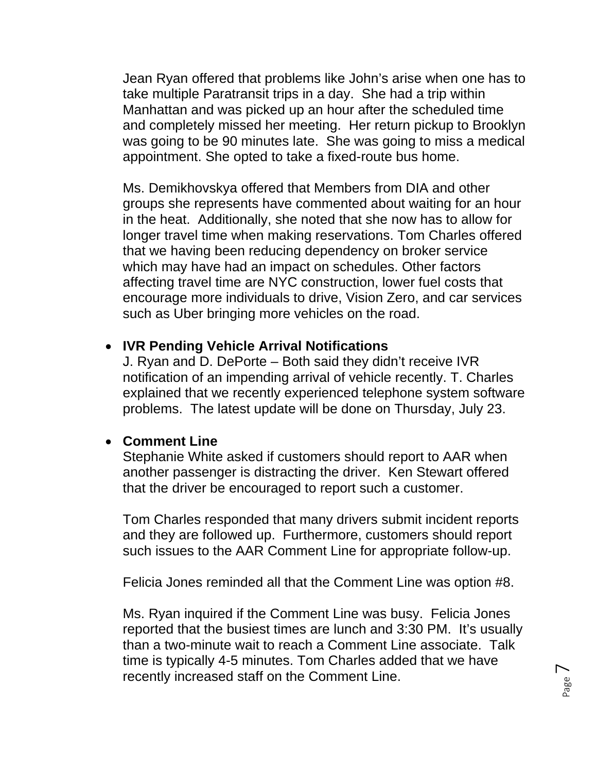Jean Ryan offered that problems like John's arise when one has to take multiple Paratransit trips in a day. She had a trip within Manhattan and was picked up an hour after the scheduled time and completely missed her meeting. Her return pickup to Brooklyn was going to be 90 minutes late. She was going to miss a medical appointment. She opted to take a fixed-route bus home.

Ms. Demikhovskya offered that Members from DIA and other groups she represents have commented about waiting for an hour in the heat. Additionally, she noted that she now has to allow for longer travel time when making reservations. Tom Charles offered that we having been reducing dependency on broker service which may have had an impact on schedules. Other factors affecting travel time are NYC construction, lower fuel costs that encourage more individuals to drive, Vision Zero, and car services such as Uber bringing more vehicles on the road.

#### **IVR Pending Vehicle Arrival Notifications**

J. Ryan and D. DePorte – Both said they didn't receive IVR notification of an impending arrival of vehicle recently. T. Charles explained that we recently experienced telephone system software problems. The latest update will be done on Thursday, July 23.

#### **Comment Line**

Stephanie White asked if customers should report to AAR when another passenger is distracting the driver. Ken Stewart offered that the driver be encouraged to report such a customer.

Tom Charles responded that many drivers submit incident reports and they are followed up. Furthermore, customers should report such issues to the AAR Comment Line for appropriate follow-up.

Felicia Jones reminded all that the Comment Line was option #8.

Ms. Ryan inquired if the Comment Line was busy. Felicia Jones reported that the busiest times are lunch and 3:30 PM. It's usually than a two-minute wait to reach a Comment Line associate. Talk time is typically 4-5 minutes. Tom Charles added that we have recently increased staff on the Comment Line.